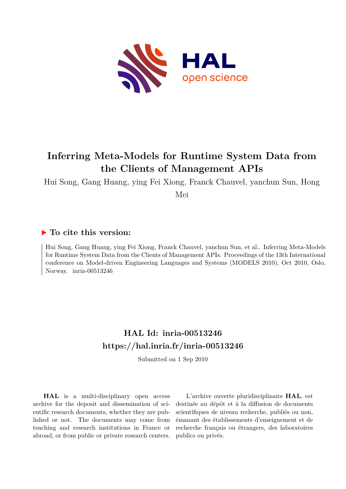

# **Inferring Meta-Models for Runtime System Data from the Clients of Management APIs**

Hui Song, Gang Huang, ying Fei Xiong, Franck Chauvel, yanchun Sun, Hong

Mei

# **To cite this version:**

Hui Song, Gang Huang, ying Fei Xiong, Franck Chauvel, yanchun Sun, et al.. Inferring Meta-Models for Runtime System Data from the Clients of Management APIs. Proceedings of the 13th International conference on Model-driven Engineering Languages and Systems (MODELS 2010), Oct 2010, Oslo, Norway. inria-00513246

# **HAL Id: inria-00513246 <https://hal.inria.fr/inria-00513246>**

Submitted on 1 Sep 2010

**HAL** is a multi-disciplinary open access archive for the deposit and dissemination of scientific research documents, whether they are published or not. The documents may come from teaching and research institutions in France or abroad, or from public or private research centers.

L'archive ouverte pluridisciplinaire **HAL**, est destinée au dépôt et à la diffusion de documents scientifiques de niveau recherche, publiés ou non, émanant des établissements d'enseignement et de recherche français ou étrangers, des laboratoires publics ou privés.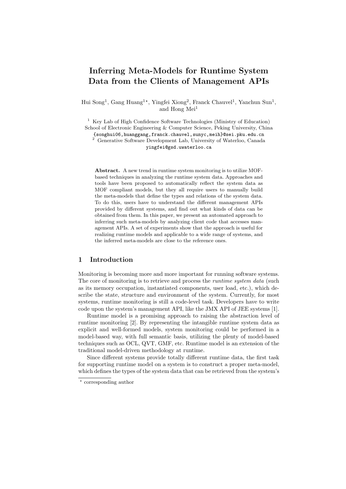# Inferring Meta-Models for Runtime System Data from the Clients of Management APIs

Hui Song<sup>1</sup>, Gang Huang<sup>1\*</sup>, Yingfei Xiong<sup>2</sup>, Franck Chauvel<sup>1</sup>, Yanchun Sun<sup>1</sup>, and Hong Mei<sup>1</sup>

<sup>1</sup> Key Lab of High Confidence Software Technologies (Ministry of Education) School of Electronic Engineering & Computer Science, Peking University, China {songhui06,huanggang,franck.chauvel,sunyc,meih}@sei.pku.edu.cn <sup>2</sup> Generative Software Development Lab, University of Waterloo, Canada yingfei@gsd.uwaterloo.ca

Abstract. A new trend in runtime system monitoring is to utilize MOFbased techniques in analyzing the runtime system data. Approaches and tools have been proposed to automatically reflect the system data as MOF compliant models, but they all require users to manually build the meta-models that define the types and relations of the system data. To do this, users have to understand the different management APIs provided by different systems, and find out what kinds of data can be obtained from them. In this paper, we present an automated approach to inferring such meta-models by analyzing client code that accesses management APIs. A set of experiments show that the approach is useful for realizing runtime models and applicable to a wide range of systems, and the inferred meta-models are close to the reference ones.

# 1 Introduction

Monitoring is becoming more and more important for running software systems. The core of monitoring is to retrieve and process the *runtime system data* (such as its memory occupation, instantiated components, user load, etc.), which describe the state, structure and environment of the system. Currently, for most systems, runtime monitoring is still a code-level task. Developers have to write code upon the system's management API, like the JMX API of JEE systems [1].

Runtime model is a promising approach to raising the abstraction level of runtime monitoring [2]. By representing the intangible runtime system data as explicit and well-formed models, system monitoring could be performed in a model-based way, with full semantic basis, utilizing the plenty of model-based techniques such as OCL, QVT, GMF, etc. Runtime model is an extension of the traditional model-driven methodology at runtime.

Since different systems provide totally different runtime data, the first task for supporting runtime model on a system is to construct a proper meta-model, which defines the types of the system data that can be retrieved from the system's

<sup>?</sup> corresponding author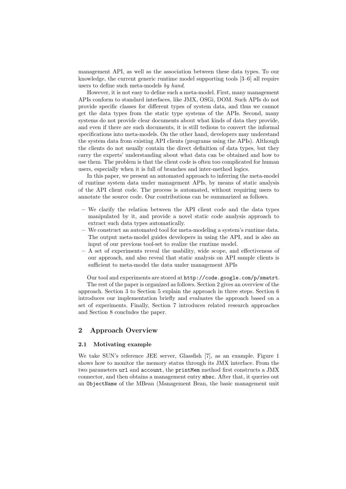management API, as well as the association between these data types. To our knowledge, the current generic runtime model supporting tools [3–6] all require users to define such meta-models by hand.

However, it is not easy to define such a meta-model. First, many management APIs conform to standard interfaces, like JMX, OSGi, DOM. Such APIs do not provide specific classes for different types of system data, and thus we cannot get the data types from the static type systems of the APIs. Second, many systems do not provide clear documents about what kinds of data they provide, and even if there are such documents, it is still tedious to convert the informal specifications into meta-models. On the other hand, developers may understand the system data from existing API clients (programs using the APIs). Although the clients do not usually contain the direct definition of data types, but they carry the experts' understanding about what data can be obtained and how to use them. The problem is that the client code is often too complicated for human users, especially when it is full of branches and inter-method logics.

In this paper, we present an automated approach to inferring the meta-model of runtime system data under management APIs, by means of static analysis of the API client code. The process is automated, without requiring users to annotate the source code. Our contributions can be summarized as follows.

- We clarify the relation between the API client code and the data types manipulated by it, and provide a novel static code analysis approach to extract such data types automatically.
- We construct an automated tool for meta-modeling a system's runtime data. The output meta-model guides developers in using the API, and is also an input of our previous tool-set to realize the runtime model.
- A set of experiments reveal the usability, wide scope, and effectiveness of our approach, and also reveal that static analysis on API sample clients is sufficient to meta-model the data under management APIs

Our tool and experiments are stored at http://code.google.com/p/smatrt. The rest of the paper is organized as follows. Section 2 gives an overview of the approach. Section 3 to Section 5 explain the approach in three steps. Section 6 introduces our implementation briefly and evaluates the approach based on a set of experiments. Finally, Section 7 introduces related research approaches and Section 8 concludes the paper.

# 2 Approach Overview

# 2.1 Motivating example

We take SUN's reference JEE server, Glassfish [7], as an example. Figure 1 shows how to monitor the memory status through its JMX interface. From the two parameters url and account, the printMem method first constructs a JMX connector, and then obtains a management entry mbsc. After that, it queries out an ObjectName of the MBean (Management Bean, the basic management unit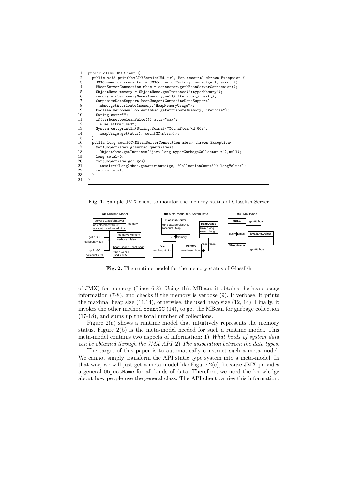| 1              | public class JMXClient {                                                |  |  |  |  |  |  |  |  |  |
|----------------|-------------------------------------------------------------------------|--|--|--|--|--|--|--|--|--|
| $\overline{2}$ | public void printMem(JMXServiceURL url, Map account) throws Exception { |  |  |  |  |  |  |  |  |  |
| 3              | JMXConnector connector = JMXConnectorFactory.connect(url, account);     |  |  |  |  |  |  |  |  |  |
| 4              | MBeanServerConnection mbsc = connector.getMBeanServerConnection();      |  |  |  |  |  |  |  |  |  |
| 5              | ObjectName memory = ObjectName.getInstance("*type=Memory");             |  |  |  |  |  |  |  |  |  |
| 6              | memory = mbsc.queryNames(memory, null).iterator().next();               |  |  |  |  |  |  |  |  |  |
| 7              | CompositeDataSupport heapUsage=(CompositeDataSupport)                   |  |  |  |  |  |  |  |  |  |
| 8              | mbsc.getAttribute(memory, "HeapMemoryUsage");                           |  |  |  |  |  |  |  |  |  |
| 9              | Boolean verbose=(Boolean)mbsc.getAttribute(memory, "Verbose");          |  |  |  |  |  |  |  |  |  |
| 10             | String attr="";                                                         |  |  |  |  |  |  |  |  |  |
| 11             | if(verbose.booleanValue()) attr="max";                                  |  |  |  |  |  |  |  |  |  |
| 12             | else attr="used";                                                       |  |  |  |  |  |  |  |  |  |
| 13             | System.out.println(String.format("%d, after %d GCs",                    |  |  |  |  |  |  |  |  |  |
| 14             | heapUsage.get(attr), countGC(mbsc)));                                   |  |  |  |  |  |  |  |  |  |
| 15             | Υ                                                                       |  |  |  |  |  |  |  |  |  |
| 16             | public long countGC(MBeanServerConnection mbsc) throws Exception{       |  |  |  |  |  |  |  |  |  |
| 17             | Set <objectname> gcs=mbsc.queryNames(</objectname>                      |  |  |  |  |  |  |  |  |  |
| 18             | ObjectName.getInstance("java.lang:type=GarbageCollector,*"), null);     |  |  |  |  |  |  |  |  |  |
| 19             | long total=0;                                                           |  |  |  |  |  |  |  |  |  |
| 20             | for(ObjectName gc: gcs)                                                 |  |  |  |  |  |  |  |  |  |
| 21             | total+=((Long)mbsc.getAttribute(gc, "CollectionCount")).longValue();    |  |  |  |  |  |  |  |  |  |
| 22             | return total;                                                           |  |  |  |  |  |  |  |  |  |
| 23             | ł                                                                       |  |  |  |  |  |  |  |  |  |
| 24             |                                                                         |  |  |  |  |  |  |  |  |  |
|                |                                                                         |  |  |  |  |  |  |  |  |  |

+used : long

Fig. 1. Sample JMX client to monitor the memory status of Glassfish Server



Fig. 2. The runtime model for the memory status of Glassfish

of JMX) for memory (Lines 6-8). Using this MBean, it obtains the heap usage information (7-8), and checks if the memory is verbose (9). If verbose, it prints the maximal heap size  $(11,14)$ , otherwise, the used heap size  $(12, 14)$ . Finally, it invokes the other method countGC (14), to get the MBean for garbage collection (17-18), and sums up the total number of collections.

Figure  $2(a)$  shows a runtime model that intuitively represents the memory status. Figure 2(b) is the meta-model needed for such a runtime model. This meta-model contains two aspects of information: 1) What kinds of system data can be obtained through the JMX API. 2) The association between the data types.

The target of this paper is to automatically construct such a meta-model. We cannot simply transform the API static type system into a meta-model. In that way, we will just get a meta-model like Figure  $2(c)$ , because JMX provides a general ObjectName for all kinds of data. Therefore, we need the knowledge about how people use the general class. The API client carries this information.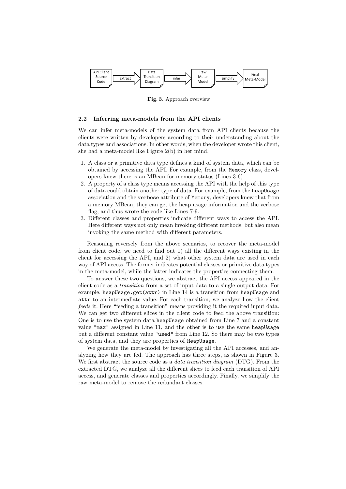

Fig. 3. Approach overview

### 2.2 Inferring meta-models from the API clients

We can infer meta-models of the system data from API clients because the clients were written by developers according to their understanding about the data types and associations. In other words, when the developer wrote this client, she had a meta-model like Figure 2(b) in her mind.

- 1. A class or a primitive data type defines a kind of system data, which can be obtained by accessing the API. For example, from the Memory class, developers knew there is an MBean for memory status (Lines 3-6).
- 2. A property of a class type means accessing the API with the help of this type of data could obtain another type of data. For example, from the heapUsage association and the verbose attribute of Memory, developers knew that from a memory MBean, they can get the heap usage information and the verbose flag, and thus wrote the code like Lines 7-9.
- 3. Different classes and properties indicate different ways to access the API. Here different ways not only mean invoking different methods, but also mean invoking the same method with different parameters.

Reasoning reversely from the above scenarios, to recover the meta-model from client code, we need to find out 1) all the different ways existing in the client for accessing the API, and 2) what other system data are used in each way of API access. The former indicates potential classes or primitive data types in the meta-model, while the latter indicates the properties connecting them.

To answer these two questions, we abstract the API access appeared in the client code as a transition from a set of input data to a single output data. For example, heapUsage.get(attr) in Line 14 is a transition from heapUsage and attr to an intermediate value. For each transition, we analyze how the client feeds it. Here "feeding a transition" means providing it the required input data. We can get two different slices in the client code to feed the above transition: One is to use the system data heapUsage obtained from Line 7 and a constant value "max" assigned in Line 11, and the other is to use the same heapUsage but a different constant value "used" from Line 12. So there may be two types of system data, and they are properties of HeapUsage.

We generate the meta-model by investigating all the API accesses, and analyzing how they are fed. The approach has three steps, as shown in Figure 3. We first abstract the source code as a *data transition diagram* (DTG). From the extracted DTG, we analyze all the different slices to feed each transition of API access, and generate classes and properties accordingly. Finally, we simplify the raw meta-model to remove the redundant classes.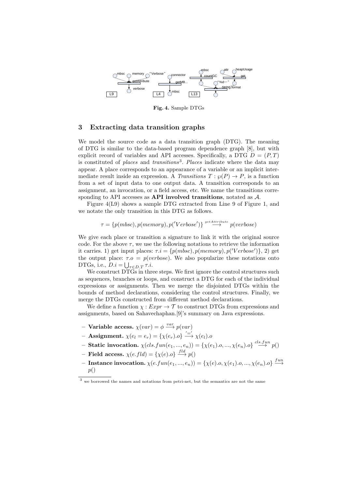

Fig. 4. Sample DTGs

# 3 Extracting data transition graphs

We model the source code as a data transition graph (DTG). The meaning of DTG is similar to the data-based program dependence graph [8], but with explicit record of variables and API accesses. Specifically, a DTG  $D = (P, T)$ is constituted of *places* and *transitions*<sup>3</sup>. Places indicate where the data may appear. A place corresponds to an appearance of a variable or an implicit intermediate result inside an expression. A Transitions  $T : \varphi(P) \to P$ , is a function from a set of input data to one output data. A transition corresponds to an assignment, an invocation, or a field access, etc. We name the transitions corresponding to API accesses as **API involved transitions**, notated as  $A$ .

Figure 4(L9) shows a sample DTG extracted from Line 9 of Figure 1, and we notate the only transition in this DTG as follows.

$$
\tau = \{p(mbsc), p(memory), p('Verbose')\} \stackrel{get Attribute}{\longrightarrow} p(verbose)
$$

We give each place or transition a signature to link it with the original source code. For the above  $\tau$ , we use the following notations to retrieve the information it carries. 1) get input places:  $\tau.i = \{p(mbsc), p(memory), p('Verbose')\}, 2)$  get the output place:  $\tau.o = p(verbose)$ . We also popularize these notations onto DTGs, i.e.,  $D.i = \bigcup_{\tau \in D.T} \tau.i.$ 

We construct DTGs in three steps. We first ignore the control structures such as sequences, branches or loops, and construct a DTG for each of the individual expressions or assignments. Then we merge the disjointed DTGs within the bounds of method declarations, considering the control structures. Finally, we merge the DTGs constructed from different method declarations.

We define a function  $\chi: Expr \to \mathcal{T}$  to construct DTGs from expressions and assignments, based on Sahavechaphan.[9]'s summary on Java expressions.

- Variable access.  $\chi(var) = \phi \stackrel{var}{\longrightarrow} p(var)$
- $-$  Assignment.  $\chi(e_l = e_r) = \{\chi(e_r).o\} \stackrel{'='}{\longrightarrow} \chi(e_l).o$
- $-$  Static invocation.  $\chi (cls.fun(e_1,...,e_n)) = {\chi(e_1).o,..., \chi(e_n).o} \stackrel{cls.fun}{\longrightarrow} p()$
- Field access.  $\chi(e.fld) = {\chi(e).o} \stackrel{fld}{\longrightarrow} p()$
- $\textbf{Instance invocation.}~ \chi(e.fun(e_1,...,e_n)) = \{ \chi(e).o, \chi(e_1).o,..., \chi(e_n).o\} \overset{fun} \longrightarrow$  $p()$

we borrowed the names and notations from petri-net, but the semantics are not the same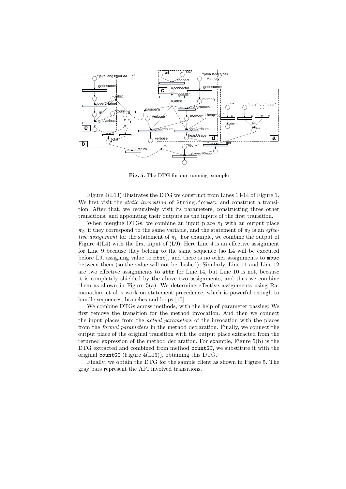

Fig. 5. The DTG for our running example

We first visit the *static invocation* of String.format, and construct a transition. After that, we recursively visit its parameters, constructing three other transitions, and appointing their outputs as the inputs of the first transition. Figure  $4(L13)$  illustrates the DTG we construct from Lines 13-14 of Figure 1.

When merging DTGs, we combine an input place  $\pi_1$  with an output place Figure 4(L4) with the first input of (L9). Here Line 4 is an effective assignment for Line 9 because they belong to the same sequence (so L4 will be executed between them (so the value will not be flushed). Similarly, Line 11 and Line  $12$ before L9, assigning value to mbsc), and there is no other assignments to mbsc  $\pi_2$ , if they correspond to the same variable, and the statement of  $\pi_2$  is an *effec*tive assignment for the statement of  $\pi_1$ . For example, we combine the output of are two effective assignments to attr for Line 14, but Line 10 is not, because it is completely shielded by the above two assignments, and thus we combine them as shown in Figure  $5(a)$ . We determine effective assignments using Ramanathan et al.'s work on statement precedence, which is powerful enough to handle sequences, branches and loops [10].

We combine DTGs across methods, with the help of parameter passing: We first remove the transition for the method invocation. And then we connect the input places from the actual parameters of the invocation with the places from the formal parameters in the method declaration. Finally, we connect the output place of the original transition with the output place extracted from the returned expression of the method declaration. For example, Figure 5(b) is the DTG extracted and combined from method countGC, we substitute it with the original countGC (Figure  $4(L13)$ ), obtaining this DTG.

Finally, we obtain the DTG for the sample client as shown in Figure 5. The gray bars represent the API involved transitions.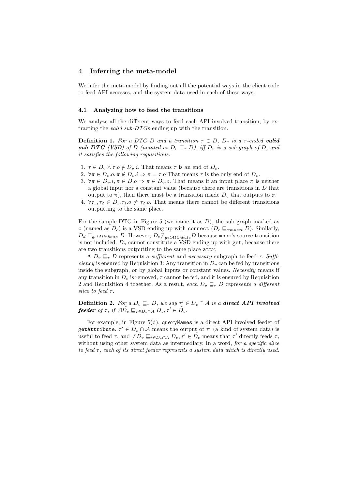# 4 Inferring the meta-model

We infer the meta-model by finding out all the potential ways in the client code to feed API accesses, and the system data used in each of these ways.

#### 4.1 Analyzing how to feed the transitions

We analyze all the different ways to feed each API involved transition, by extracting the valid sub-DTGs ending up with the transition.

**Definition 1.** For a DTG D and a transition  $\tau \in D$ ,  $D_v$  is a  $\tau$ -ended valid **sub-DTG** (VSD) of D (notated as  $D_v \sqsubseteq_{\tau} D$ ), iff  $D_v$  is a sub graph of D, and it satisfies the following requisitions.

- 1.  $\tau \in D_v \wedge \tau.o \notin D_v.i.$  That means  $\tau$  is an end of  $D_v$ .
- 2.  $\forall \pi \in D_n.o, \pi \notin D_n.i \Rightarrow \pi = \tau.o$  That means  $\tau$  is the only end of  $D_n$ .
- 3.  $\forall \pi \in D_n$ ,  $i, \pi \in D$ ,  $o \Rightarrow \pi \in D_n$ ,  $o$ . That means if an input place  $\pi$  is neither a global input nor a constant value (because there are transitions in D that output to  $\pi$ ), then there must be a transition inside  $D<sub>v</sub>$  that outputs to  $\pi$ .
- 4.  $\forall \tau_1, \tau_2 \in D_v.\tau_1.o \neq \tau_2.o.$  That means there cannot be different transitions outputting to the same place.

For the sample DTG in Figure 5 (we name it as  $D$ ), the sub graph marked as c (named as  $D_c$ ) is a VSD ending up with connect  $(D_c \sqsubseteq_{connect} D)$ . Similarly,  $D_d \sqsubseteq_{getAttribute} D$ . However,  $D_e \not\sqsubseteq_{getAttribute} D$  because mbsc's source transition is not included.  $D_a$  cannot constitute a VSD ending up with get, because there are two transitions outputting to the same place attr.

A  $D_v \sqsubseteq_{\tau} D$  represents a sufficient and necessary subgraph to feed  $\tau$ . Suffi*ciency* is ensured by Requisition 3: Any transition in  $D_v$  can be fed by transitions inside the subgraph, or by global inputs or constant values. Necessity means if any transition in  $D<sub>v</sub>$  is removed,  $\tau$  cannot be fed, and it is ensured by Requisition 2 and Requisition 4 together. As a result, each  $D_v \sqsubseteq_{\tau} D$  represents a different slice to feed  $\tau$ .

**Definition 2.** For a  $D_v \sqsubseteq_{\tau} D$ , we say  $\tau' \in D_v \cap A$  is a **direct API involved** feeder of  $\tau$ , if  $\nexists \tilde{D_v} \sqsubseteq_{\tilde{\tau} \in D_v \cap A} D_v, \tau' \in \tilde{D_v}$ .

For example, in Figure 5(d), queryNames is a direct API involved feeder of getAttribute.  $\tau' \in D_v \cap \mathcal{A}$  means the output of  $\tau'$  (a kind of system data) is useful to feed  $\tau$ , and  $\overline{\beta}\tilde{D_v} \sqsubseteq_{\tilde{\tau} \in D_v \cap A} D_v, \tau' \in \tilde{D_v}$  means that  $\tau'$  directly feeds  $\tau$ , without using other system data as intermediary. In a word, for a specific slice to feed  $\tau$ , each of its direct feeder represents a system data which is directly used.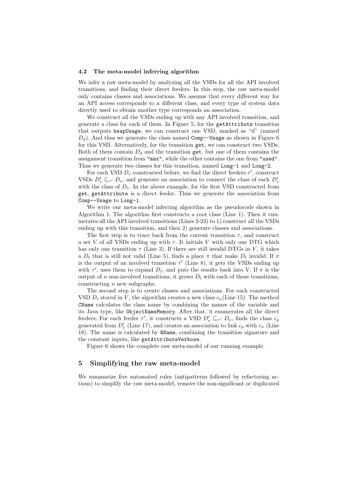#### 4.2 The meta-model inferring algorithm

We infer a raw meta-model by analyzing all the VSDs for all the API involved transitions, and finding their direct feeders. In this step, the raw meta-model only contains classes and associations. We assume that every different way for an API access corresponds to a different class, and every type of system data directly used to obtain another type corresponds an association.

We construct all the VSDs ending up with any API involved transition, and generate a class for each of them. In Figure 5, for the getAttribute transition that outputs heapUsage, we can construct one VSD, marked as "d" (named  $D_d$ ). And thus we generate the class named Comp--Usage as shown in Figure 6 for this VSD. Alternatively, for the transition get, we can construct two VSDs. Both of them contain  $D_d$  and the transition get, but one of them contains the assignment transition from "max", while the other contains the one from "used". Thus we generate two classes for this transition, named Long-1 and Long-2.

For each VSD  $D_v$  constructed before, we find the direct feeders  $\tau'$ , construct VSDs  $D'_v \sqsubseteq_{\tau'} D_v$ , and generate an association to connect the class of each  $D'_v$ with the class of  $D_v$ . In the above example, for the first VSD constructed from get, getAttribute is a direct feeder. Thus we generate the association from Comp--Usage to Long-1.

We write our meta-model inferring algorithm as the pseudocode shown in Algorithm 1. The algorithm first constructs a root class (Line 1). Then it enumerates all the API involved transitions (Lines 2-23) to 1) construct all the VSDs ending up with this transition, and then 2) generate classes and associations.

The first step is to trace back from the current transition  $\tau$ , and construct a set V of all VSDs ending up with  $\tau$ . It initials V with only one DTG which has only one transition  $\tau$  (Line 3). If there are still invalid DTGs in V, it takes a  $D_t$  that is still not valid (Line 5), finds a place  $\pi$  that make  $D_t$  invalid. If  $\pi$ is the output of an involved transition  $\tau'$  (Line 8), it gets the VSDs ending up with  $\tau'$ , uses them to expand  $D_t$ , and puts the results back into V. If  $\pi$  is the output of n non-involved transitions, it grows  $D_t$  with each of these transitions, constructing  $n$  new subgraphs.

The second step is to create classes and associations. For each constructed VSD  $D_t$  stored in V, the algorithm creates a new class  $c_n$  (Line 15). The method CName calculates the class name by combining the names of the variable and its Java type, like ObjectNameMemory. After that, it enumerates all the direct feeders. For each feeder  $\tau'$ , it constructs a VSD  $D'_v \sqsubseteq_{\tau'} D_v$ , finds the class  $c_p$ generated from  $D'_v$  (Line 17), and creates an association to link  $c_p$  with  $c_n$  (Line 18). The name is calculated by RName, combining the transition signature and the constant inputs, like getAttributeVerbose.

Figure 6 shows the complete raw meta-model of our running example.

# 5 Simplifying the raw meta-model

We summarize five automated rules (antipatterns followed by refactoring actions) to simplify the raw meta-model, remove the non-significant or duplicated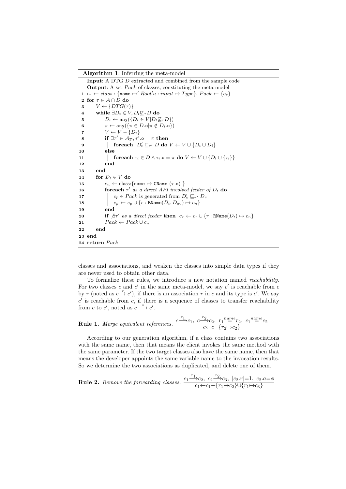#### Algorithm 1: Inferring the meta-model

Input: A DTG D extracted and combined from the sample code **Output:** A set *Pack* of classes, constituting the meta-model  $1 \ c_r \leftarrow class : \{\texttt{name} \mapsto' Root'a : input \mapsto Type\}, \ Pack \leftarrow \{c_r\}$ 2 for  $\tau \in \mathcal{A} \cap D$  do  $3 \mid V \leftarrow \{DTG(\tau)\}$ 4 while  $\exists D_t \in V, D_t \not\sqsubseteq_{\tau} D$  do 5  $\vert D_t \leftarrow \text{any}(\{D_t \in V | D_t \not\subseteq_{\tau} D\})$ 6  $\pi \leftarrow \text{any}(\{\pi \in D.\text{o} | \pi \notin D_t.\text{o}\})$  $7 \mid V \leftarrow V - \{D_t\}$  $\begin{array}{c|c} \mathbf{s} & \mathbf{0} & \mathbf{0} \end{array} \quad \text{if} \; \exists \tau' \in \mathcal{A_D}, \tau'.\mathsf{o} = \pi \; \text{then}$  $\quad \begin{array}{ll} \texttt{9} & | & | \quad \text{for each} \;\; D_t' \sqsubseteq_{\tau'} D \text{ do } V \leftarrow V \cup \{D_t \cup D_i\} \end{array}$  $10$  else 11 **for each**  $\tau_i \in D \land \tau_i$ .**o** =  $\pi$  do  $V \leftarrow V \cup \{D_t \cup \{\tau_i\}\}\$  $12$  end 13 end 14 for  $D_t \in V$  do 15  $c_n \leftarrow \text{class:} \{\text{name} \mapsto \text{CMame} \, (\tau.\text{o})\}$ 16 **b** for each  $\tau'$  as a direct API involved feeder of  $D_t$  do 17  $\Big|\Big|$   $\Big|$   $c_p \in \text{Pack}$  is generated from  $D'_v \sqsubseteq_{\tau'} D_v$ 18  $\vert \vert \vert \vert \vert \cdot c_p \leftarrow c_p \cup \{r : \texttt{RMame}(D_t, D_{av}) \mapsto c_n\}$ 19 | end 20  $\Box$  if  $\exists \tau'$  as a direct feeder then  $c_r \leftarrow c_r \cup \{r : \texttt{RMame}(D_t) \mapsto c_n\}$ 21 |  $Pack \leftarrow Pack \cup c_n$  $22$  end 23 end 24 return Pack

classes and associations, and weaken the classes into simple data types if they are never used to obtain other data.

To formalize these rules, we introduce a new notation named reachability. For two classes  $c$  and  $c'$  in the same meta-model, we say  $c'$  is reachable from  $c$ by r (noted as  $c \stackrel{r}{\rightarrow} c'$ ), if there is an association r in c and its type is c'. We say  $c'$  is reachable from c, if there is a sequence of classes to transfer reachability from c to c', noted as  $c \stackrel{*}{\longrightarrow} c'$ .

**Rule 1.** Merge equivalent references. 
$$
\frac{c \xrightarrow{r_1} c_1, c \xrightarrow{r_2} c_2, r_1^{name} r_2, c_1^{name} c_2}{c \leftarrow c - \{r_2 \mapsto c_2\}}
$$

According to our generation algorithm, if a class contains two associations with the same name, then that means the client invokes the same method with the same parameter. If the two target classes also have the same name, then that means the developer appoints the same variable name to the invocation results. So we determine the two associations as duplicated, and delete one of them.

**Rule 2.** Remove the forwarding classes.  $\frac{c_1 \stackrel{r_1}{\longrightarrow} c_2, c_2 \stackrel{r_2}{\longrightarrow} c_3, |c_2,r|=1, c_2.a=\phi}{a_1/a_2 \cdot [a_1 \cdot a_2] \cdot [a_1 \cdot a_3]}$  $c_1 \leftarrow c_1 - \{r_1 \mapsto c_2\} \cup \{r_1 \mapsto c_3\}$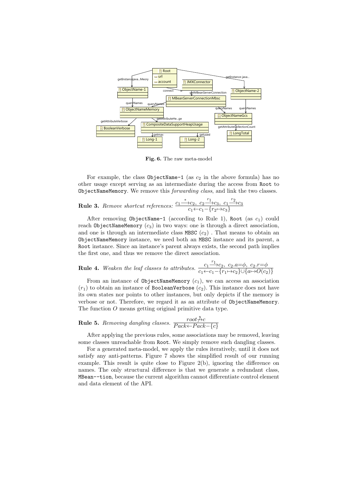

Fig. 6. The raw meta-model

For example, the class  $\text{ObjectName-1}$  (as  $c_2$  in the above formula) has no other usage except serving as an intermediate during the access from Root to ObjectNameMemory. We remove this forwarding class, and link the two classes.

**Rule 3.** Remove shortcut references:  $\frac{c_1 \rightarrow c_2, c_2 \rightarrow c_3, c_1 \rightarrow c_2}{c_1 \rightarrow c_2 \rightarrow c_1 \rightarrow c_2 \rightarrow c_2 \rightarrow c_3}$  $c_1 \leftarrow c_1 - \{r_2 \mapsto c_3\}$ 

After removing ObjectName-1 (according to Rule 1), Root (as  $c_1$ ) could reach ObjectNameMemory  $(c_3)$  in two ways: one is through a direct association, and one is through an intermediate class MBSC  $(c_2)$ . That means to obtain an ObjectNameMemory instance, we need both an MBSC instance and its parent, a Root instance. Since an instance's parent always exists, the second path implies the first one, and thus we remove the direct association.

**Rule 4.** Weaken the leaf classes to attributes. 
$$
\frac{c_1 \xrightarrow{r_1} c_2, c_2.a = \phi, c_2.r = \phi}{c_1 \leftarrow c_1 - \{r_1 \mapsto c_2\} \cup \{a \mapsto O(c_2)\}}
$$

From an instance of ObjectNameMemory  $(c_1)$ , we can access an association  $(r_1)$  to obtain an instance of BooleanVerbose  $(c_2)$ . This instance does not have its own states nor points to other instances, but only depicts if the memory is verbose or not. Therefore, we regard it as an attribute of ObjectNameMemory. The function O means getting original primitive data type.

**Rule 5.** Removing danging classes. 
$$
\frac{root \overset{*}{\rightarrow} c}{Pack \leftarrow Pack - \{c\}}
$$

After applying the previous rules, some associations may be removed, leaving some classes unreachable from Root. We simply remove such dangling classes.

For a generated meta-model, we apply the rules iteratively, until it does not satisfy any anti-patterns. Figure 7 shows the simplified result of our running example. This result is quite close to Figure  $2(b)$ , ignoring the difference on names. The only structural difference is that we generate a redundant class, MBean--tion, because the current algorithm cannot differentiate control element and data element of the API.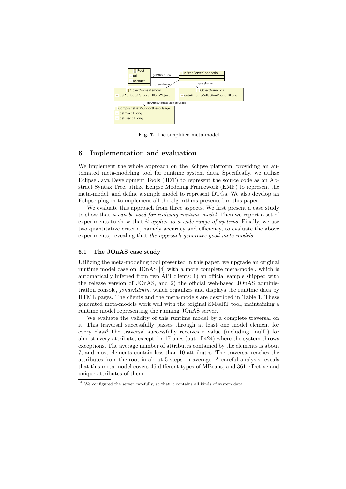

Fig. 7. The simplified meta-model

# 6 Implementation and evaluation

We implement the whole approach on the Eclipse platform, providing an automated meta-modeling tool for runtime system data. Specifically, we utilize Eclipse Java Development Tools (JDT) to represent the source code as an Abstract Syntax Tree, utilize Eclipse Modeling Framework (EMF) to represent the meta-model, and define a simple model to represent DTGs. We also develop an Eclipse plug-in to implement all the algorithms presented in this paper.

We evaluate this approach from three aspects. We first present a case study to show that *it can be used for realizing runtime model*. Then we report a set of experiments to show that *it applies to a wide range of systems*. Finally, we use two quantitative criteria, namely accuracy and efficiency, to evaluate the above experiments, revealing that the approach generates good meta-models.

## 6.1 The JOnAS case study

Utilizing the meta-modeling tool presented in this paper, we upgrade an original runtime model case on JOnAS [4] with a more complete meta-model, which is automatically inferred from two API clients: 1) an official sample shipped with the release version of JOnAS, and 2) the official web-based JOnAS administration console, jonasAdmin, which organizes and displays the runtime data by HTML pages. The clients and the meta-models are described in Table 1. These generated meta-models work well with the original SM@RT tool, maintaining a runtime model representing the running JOnAS server.

We evaluate the validity of this runtime model by a complete traversal on it. This traversal successfully passes through at least one model element for every class<sup>4</sup>. The traversal successfully receives a value (including "null") for almost every attribute, except for 17 ones (out of 424) where the system throws exceptions. The average number of attributes contained by the elements is about 7, and most elements contain less than 10 attributes. The traversal reaches the attributes from the root in about 5 steps on average. A careful analysis reveals that this meta-model covers 46 different types of MBeans, and 361 effective and unique attributes of them.

 $^4\,$  We configured the server carefully, so that it contains all kinds of system data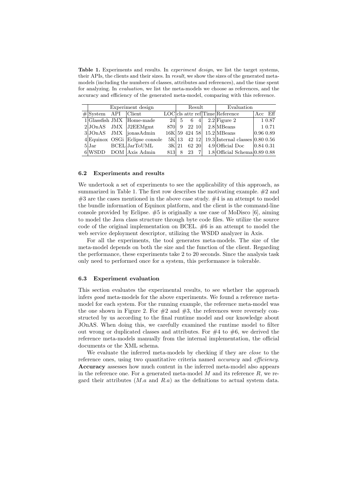Table 1. Experiments and results. In *experiment design*, we list the target systems, their APIs, the clients and their sizes. In result, we show the sizes of the generated metamodels (including the numbers of classes, attributes and references), and the time spent for analyzing. In evaluation, we list the meta-models we choose as references, and the accuracy and efficiency of the generated meta-model, comparing with this reference.

| Experiment design      |  |                                |       | Result |       |  |  | Evaluation                                           |               |             |
|------------------------|--|--------------------------------|-------|--------|-------|--|--|------------------------------------------------------|---------------|-------------|
| $\#$ System API Client |  |                                |       |        |       |  |  | $LOC cls$ attr ref Time Reference                    |               | $Acc$ $Eff$ |
|                        |  | $1 G$ lassfish JMX  Home-made  |       |        |       |  |  | 24 5 6 4 2.2 Figure 2                                |               | 1 0.87      |
|                        |  | $2$ JOnAS JMX J2EEMgmt         |       |        |       |  |  | 870 9 22 10 2.8 MBeans                               |               | 1 0.71      |
|                        |  | $3 JOnAS$ JMX $ jonaAdmin$     |       |        |       |  |  | 16K 59 424 58 15.2 MBeans                            |               | 0.960.89    |
|                        |  | 4 Equinox OSGi Eclipse console |       |        |       |  |  | $5K 13 \t42 \t12  \t19.3$ Internal classes 0.80 0.56 |               |             |
|                        |  | $5$  Jar BCEL JarToUML         | 3K/21 |        | 62 20 |  |  | 4.9 Official Doc                                     | $0.84$ $0.31$ |             |
|                        |  | 6 WSDD DOM Axis Admin          | 8131  | 8      |       |  |  | 23 7 1.8 Official Schema 0.89 0.88                   |               |             |

#### 6.2 Experiments and results

We undertook a set of experiments to see the applicability of this approach, as summarized in Table 1. The first row describes the motivating example. #2 and  $#3$  are the cases mentioned in the above case study.  $#4$  is an attempt to model the bundle information of Equinox platform, and the client is the command-line console provided by Eclipse.  $#5$  is originally a use case of MoDisco [6], aiming to model the Java class structure through byte code files. We utilize the source code of the original implementation on BCEL.  $#6$  is an attempt to model the web service deployment descriptor, utilizing the WSDD analyzer in Axis.

For all the experiments, the tool generates meta-models. The size of the meta-model depends on both the size and the function of the client. Regarding the performance, these experiments take 2 to 20 seconds. Since the analysis task only need to performed once for a system, this performance is tolerable.

## 6.3 Experiment evaluation

This section evaluates the experimental results, to see whether the approach infers good meta-models for the above experiments. We found a reference metamodel for each system. For the running example, the reference meta-model was the one shown in Figure 2. For  $\#2$  and  $\#3$ , the references were reversely constructed by us according to the final runtime model and our knowledge about JOnAS. When doing this, we carefully examined the runtime model to filter out wrong or duplicated classes and attributes. For  $\#4$  to  $\#6$ , we derived the reference meta-models manually from the internal implementation, the official documents or the XML schema.

We evaluate the inferred meta-models by checking if they are *close* to the reference ones, using two quantitative criteria named *accuracy* and *efficiency*. Accuracy assesses how much content in the inferred meta-model also appears in the reference one. For a generated meta-model  $M$  and its reference  $R$ , we regard their attributes  $(M.a \text{ and } R.a)$  as the definitions to actual system data.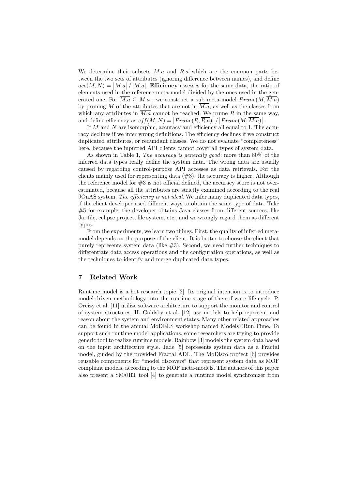We determine their subsets  $\overline{M.a}$  and  $\overline{R.a}$  which are the common parts between the two sets of attributes (ignoring difference between names), and define  $acc(M, N) = |\overline{M.a}| / |M.a|$ . **Efficiency** assesses for the same data, the ratio of elements used in the reference meta-model divided by the ones used in the generated one. For  $\overline{M.a} \subseteq M.a$ , we construct a sub meta-model  $Prune(M, \overline{M.a})$ by pruning M of the attributes that are not in  $\overline{M.a}$ , as well as the classes from which any attributes in  $\overline{M.a}$  cannot be reached. We prune R in the same way, and define efficiency as  $eff(M, N) = |Prune(R, \overline{R.a})| / |Prune(M, \overline{M.a})|$ .

If M and N are isomorphic, accuracy and efficiency all equal to 1. The accuracy declines if we infer wrong definitions. The efficiency declines if we construct duplicated attributes, or redundant classes. We do not evaluate "completeness" here, because the inputted API clients cannot cover all types of system data.

As shown in Table 1, The accuracy is generally good: more than 80% of the inferred data types really define the system data. The wrong data are usually caused by regarding control-purpose API accesses as data retrievals. For the clients mainly used for representing data  $(\#3)$ , the accuracy is higher. Although the reference model for  $\#3$  is not official defined, the accuracy score is not overestimated, because all the attributes are strictly examined according to the real JOnAS system. The efficiency is not ideal. We infer many duplicated data types, if the client developer used different ways to obtain the same type of data. Take #5 for example, the developer obtains Java classes from different sources, like Jar file, eclipse project, file system, etc., and we wrongly regard them as different types.

From the experiments, we learn two things. First, the quality of inferred metamodel depends on the purpose of the client. It is better to choose the client that purely represents system data (like #3). Second, we need further techniques to differentiate data access operations and the configuration operations, as well as the techniques to identify and merge duplicated data types.

# 7 Related Work

Runtime model is a hot research topic [2]. Its original intention is to introduce model-driven methodology into the runtime stage of the software life-cycle. P. Oreizy et al. [11] utilize software architecture to support the monitor and control of system structures. H. Goldsby et al. [12] use models to help represent and reason about the system and environment states. Many other related approaches can be found in the annual MoDELS workshop named Models@Run.Time. To support such runtime model applications, some researchers are trying to provide generic tool to realize runtime models. Rainbow [3] models the system data based on the input architecture style. Jade [5] represents system data as a Fractal model, guided by the provided Fractal ADL. The MoDisco project [6] provides reusable components for "model discovers" that represent system data as MOF compliant models, according to the MOF meta-models. The authors of this paper also present a SM@RT tool [4] to generate a runtime model synchronizer from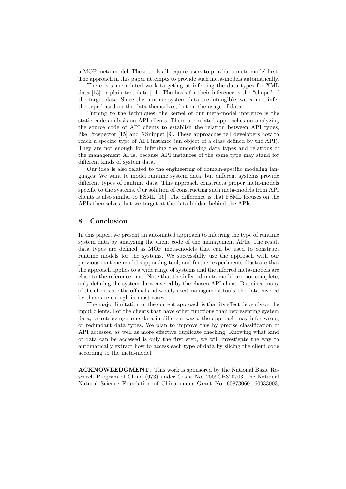a MOF meta-model. These tools all require users to provide a meta-model first. The approach in this paper attempts to provide such meta-models automatically.

There is some related work targeting at inferring the data types for XML data [13] or plain text data [14]. The basis for their inference is the "shape" of the target data. Since the runtime system data are intangible, we cannot infer the type based on the data themselves, but on the usage of data.

Turning to the techniques, the kernel of our meta-model inference is the static code analysis on API clients. There are related approaches on analyzing the source code of API clients to establish the relation between API types, like Prospector [15] and XSnippet [9]. These approaches tell developers how to reach a specific type of API instance (an object of a class defined by the API). They are not enough for inferring the underlying data types and relations of the management APIs, because API instances of the same type may stand for different kinds of system data.

Our idea is also related to the engineering of domain-specific modeling languages: We want to model runtime system data, but different systems provide different types of runtime data. This approach constructs proper meta-models specific to the systems. Our solution of constructing such meta-models from API clients is also similar to FSML [16]. The difference is that FSML focuses on the APIs themselves, but we target at the data hidden behind the APIs.

# 8 Conclusion

In this paper, we present an automated approach to inferring the type of runtime system data by analyzing the client code of the management APIs. The result data types are defined as MOF meta-models that can be used to construct runtime models for the systems. We successfully use the approach with our previous runtime model supporting tool, and further experiments illustrate that the approach applies to a wide range of systems and the inferred meta-models are close to the reference ones. Note that the inferred meta-model are not complete, only defining the system data covered by the chosen API client. But since many of the clients are the official and widely used management tools, the data covered by them are enough in most cases.

The major limitation of the current approach is that its effect depends on the input clients. For the clients that have other functions than representing system data, or retrieving same data in different ways, the approach may infer wrong or redundant data types. We plan to improve this by precise classification of API accesses, as well as more effective duplicate checking. Knowing what kind of data can be accessed is only the first step, we will investigate the way to automatically extract how to access each type of data by slicing the client code according to the meta-model.

ACKNOWLEDGMENT. This work is sponsored by the National Basic Research Program of China (973) under Grant No. 2009CB320703; the National Natural Science Foundation of China under Grant No. 60873060, 60933003,